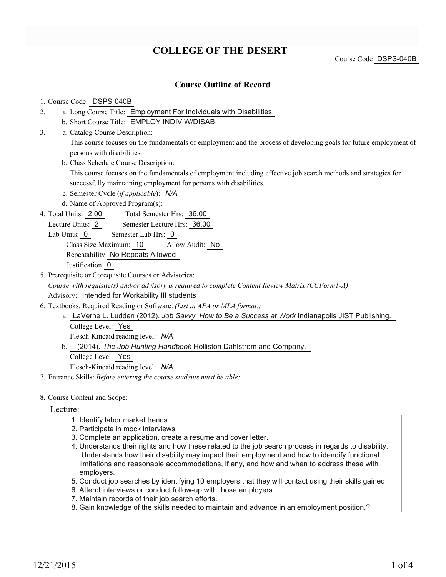# **COLLEGE OF THE DESERT**

Course Code DSPS-040B

### **Course Outline of Record**

#### 1. Course Code: DSPS-040B

- a. Long Course Title: Employment For Individuals with Disabilities 2.
	- b. Short Course Title: EMPLOY INDIV W/DISAB
- Catalog Course Description: a. 3.

This course focuses on the fundamentals of employment and the process of developing goals for future employment of persons with disabilities.

b. Class Schedule Course Description:

This course focuses on the fundamentals of employment including effective job search methods and strategies for successfully maintaining employment for persons with disabilities.

- c. Semester Cycle (*if applicable*): *N/A*
- d. Name of Approved Program(s):
- Total Semester Hrs: 36.00 4. Total Units: 2.00

Lecture Units: 2 Semester Lecture Hrs: 36.00

Lab Units: 0 Semester Lab Hrs: 0

Class Size Maximum: 10 Allow Audit: No

Repeatability No Repeats Allowed

Justification 0

5. Prerequisite or Corequisite Courses or Advisories:

*Course with requisite(s) and/or advisory is required to complete Content Review Matrix (CCForm1-A)* Advisory: Intended for Workability III students

- Textbooks, Required Reading or Software: *(List in APA or MLA format.)* 6.
	- a. LaVerne L. Ludden (2012). Job Savvy, How to Be a Success at Work Indianapolis JIST Publishing. College Level: Yes Flesch-Kincaid reading level: *N/A*
	- b. (2014). The Job Hunting Handbook Holliston Dahlstrom and Company. College Level: Yes

Flesch-Kincaid reading level: *N/A*

7. Entrance Skills: *Before entering the course students must be able:*

#### 8. Course Content and Scope:

#### Lecture:

- 1. Identify labor market trends.
- 2. Participate in mock interviews
- 3. Complete an application, create a resume and cover letter.
- 4. Understands their rights and how these related to the job search process in regards to disability. Understands how their disability may impact their employment and how to idendify functional limitations and reasonable accommodations, if any, and how and when to address these with employers.
- 5. Conduct job searches by identifying 10 employers that they will contact using their skills gained.
- 6. Attend interviews or conduct follow-up with those employers.
- 7. Maintain records of their job search efforts.
- 8. Gain knowledge of the skills needed to maintain and advance in an employment position.?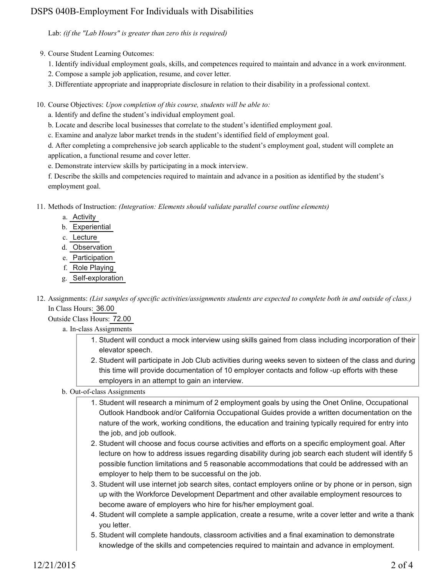# DSPS 040B-Employment For Individuals with Disabilities

Lab: *(if the "Lab Hours" is greater than zero this is required)*

9. Course Student Learning Outcomes:

- 1. Identify individual employment goals, skills, and competences required to maintain and advance in a work environment.
- 2. Compose a sample job application, resume, and cover letter.
- 3. Differentiate appropriate and inappropriate disclosure in relation to their disability in a professional context.

10. Course Objectives: Upon completion of this course, students will be able to:

a. Identify and define the student's individual employment goal.

b. Locate and describe local businesses that correlate to the student's identified employment goal.

c. Examine and analyze labor market trends in the student's identified field of employment goal.

d. After completing a comprehensive job search applicable to the student's employment goal, student will complete an application, a functional resume and cover letter.

e. Demonstrate interview skills by participating in a mock interview.

f. Describe the skills and competencies required to maintain and advance in a position as identified by the student's employment goal.

Methods of Instruction: *(Integration: Elements should validate parallel course outline elements)* 11.

- a. Activity
- b. Experiential
- c. Lecture
- d. Observation
- e. Participation
- f. Role Playing
- g. Self-exploration
- 12. Assignments: (List samples of specific activities/assignments students are expected to complete both in and outside of class.) In Class Hours: 36.00

Outside Class Hours: 72.00

- a. In-class Assignments
	- 1. Student will conduct a mock interview using skills gained from class including incorporation of their elevator speech.
	- 2. Student will participate in Job Club activities during weeks seven to sixteen of the class and during this time will provide documentation of 10 employer contacts and follow -up efforts with these employers in an attempt to gain an interview.
- b. Out-of-class Assignments
	- 1. Student will research a minimum of 2 employment goals by using the Onet Online, Occupational Outlook Handbook and/or California Occupational Guides provide a written documentation on the nature of the work, working conditions, the education and training typically required for entry into the job, and job outlook.
	- 2. Student will choose and focus course activities and efforts on a specific employment goal. After lecture on how to address issues regarding disability during job search each student will identify 5 possible function limitations and 5 reasonable accommodations that could be addressed with an employer to help them to be successful on the job.
	- 3. Student will use internet job search sites, contact employers online or by phone or in person, sign up with the Workforce Development Department and other available employment resources to become aware of employers who hire for his/her employment goal.
	- 4. Student will complete a sample application, create a resume, write a cover letter and write a thank you letter.
	- 5. Student will complete handouts, classroom activities and a final examination to demonstrate knowledge of the skills and competencies required to maintain and advance in employment.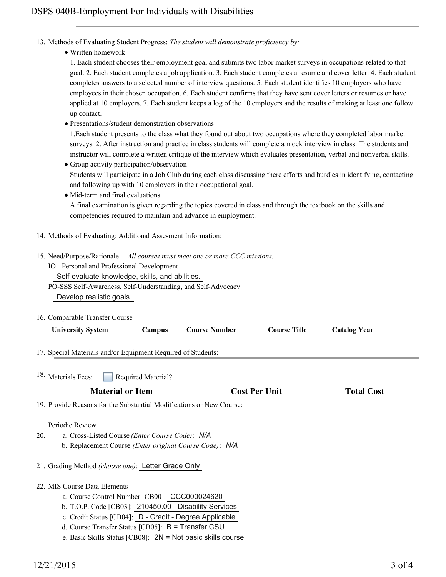- 13. Methods of Evaluating Student Progress: The student will demonstrate proficiency by:
	- Written homework

1. Each student chooses their employment goal and submits two labor market surveys in occupations related to that goal. 2. Each student completes a job application. 3. Each student completes a resume and cover letter. 4. Each student completes answers to a selected number of interview questions. 5. Each student identifies 10 employers who have employees in their chosen occupation. 6. Each student confirms that they have sent cover letters or resumes or have applied at 10 employers. 7. Each student keeps a log of the 10 employers and the results of making at least one follow up contact.

Presentations/student demonstration observations

1.Each student presents to the class what they found out about two occupations where they completed labor market surveys. 2. After instruction and practice in class students will complete a mock interview in class. The students and instructor will complete a written critique of the interview which evaluates presentation, verbal and nonverbal skills.

- Group activity participation/observation Students will participate in a Job Club during each class discussing there efforts and hurdles in identifying, contacting and following up with 10 employers in their occupational goal.
- Mid-term and final evaluations

A final examination is given regarding the topics covered in class and through the textbook on the skills and competencies required to maintain and advance in employment.

- 14. Methods of Evaluating: Additional Assesment Information:
- 15. Need/Purpose/Rationale -- All courses must meet one or more CCC missions.
	- IO Personal and Professional Development
		- Self-evaluate knowledge, skills, and abilities.

PO-SSS Self-Awareness, Self-Understanding, and Self-Advocacy Develop realistic goals.

 $C = 11 \text{ T} C C$ 16.

| 16. Comparable Transfer Course                                                                                                                                                                                                                                                                                            |                    |                      |                      |                     |  |
|---------------------------------------------------------------------------------------------------------------------------------------------------------------------------------------------------------------------------------------------------------------------------------------------------------------------------|--------------------|----------------------|----------------------|---------------------|--|
| <b>University System</b>                                                                                                                                                                                                                                                                                                  | Campus             | <b>Course Number</b> | <b>Course Title</b>  | <b>Catalog Year</b> |  |
| 17. Special Materials and/or Equipment Required of Students:                                                                                                                                                                                                                                                              |                    |                      |                      |                     |  |
| 18. Materials Fees:                                                                                                                                                                                                                                                                                                       | Required Material? |                      |                      |                     |  |
| <b>Material or Item</b>                                                                                                                                                                                                                                                                                                   |                    |                      | <b>Cost Per Unit</b> |                     |  |
| 19. Provide Reasons for the Substantial Modifications or New Course:                                                                                                                                                                                                                                                      |                    |                      |                      |                     |  |
| Periodic Review<br>a. Cross-Listed Course (Enter Course Code): N/A<br>20.<br>b. Replacement Course (Enter original Course Code): N/A<br>21. Grading Method (choose one): Letter Grade Only                                                                                                                                |                    |                      |                      |                     |  |
| 22. MIS Course Data Elements<br>a. Course Control Number [CB00]: CCC000024620<br>b. T.O.P. Code [CB03]: 210450.00 - Disability Services<br>c. Credit Status [CB04]: D - Credit - Degree Applicable<br>d. Course Transfer Status [CB05]: $B =$ Transfer CSU<br>e. Basic Skills Status [CB08]: 2N = Not basic skills course |                    |                      |                      |                     |  |